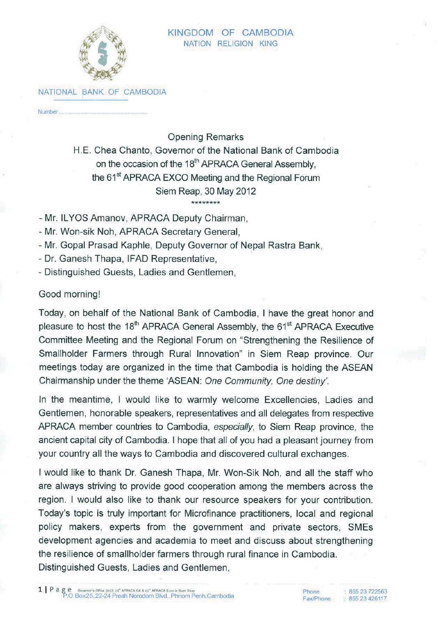

NATIONAL BANK OF CAMBODIA

Number.

**Opening Remarks** 

H.E. Chea Chanto, Governor of the National Bank of Cambodia on the occasion of the 18<sup>th</sup> APRACA General Assembly. the 61<sup>st</sup> APRACA EXCO Meeting and the Regional Forum Siem Reap. 30 May 2012 \*\*\*\*\*\*\*\*

- Mr. ILYOS Amanov, APRACA Deputy Chairman,

- Mr. Won-sik Noh. APRACA Secretary General.

- Mr. Gopal Prasad Kaphle, Deputy Governor of Nepal Rastra Bank.

- Dr. Ganesh Thapa, IFAD Representative,

- Distinguished Guests, Ladies and Gentlemen.

## Good morning!

Today, on behalf of the National Bank of Cambodia, I have the great honor and pleasure to host the 18<sup>th</sup> APRACA General Assembly, the 61<sup>st</sup> APRACA Executive Committee Meeting and the Regional Forum on "Strengthening the Resilience of Smallholder Farmers through Rural Innovation" in Siem Reap province. Our meetings today are organized in the time that Cambodia is holding the ASEAN Chairmanship under the theme 'ASEAN: One Community, One destiny'.

In the meantime, I would like to warmly welcome Excellencies, Ladies and Gentlemen, honorable speakers, representatives and all delegates from respective APRACA member countries to Cambodia, especially, to Siem Reap province, the ancient capital city of Cambodia. I hope that all of you had a pleasant journey from your country all the ways to Cambodia and discovered cultural exchanges.

I would like to thank Dr. Ganesh Thapa, Mr. Won-Sik Noh, and all the staff who are always striving to provide good cooperation among the members across the region. I would also like to thank our resource speakers for your contribution. Today's topic is truly important for Microfinance practitioners, local and regional policy makers, experts from the government and private sectors. SMEs development agencies and academia to meet and discuss about strengthening the resilience of smallholder farmers through rural finance in Cambodia. Distinguished Guests, Ladies and Gentlemen.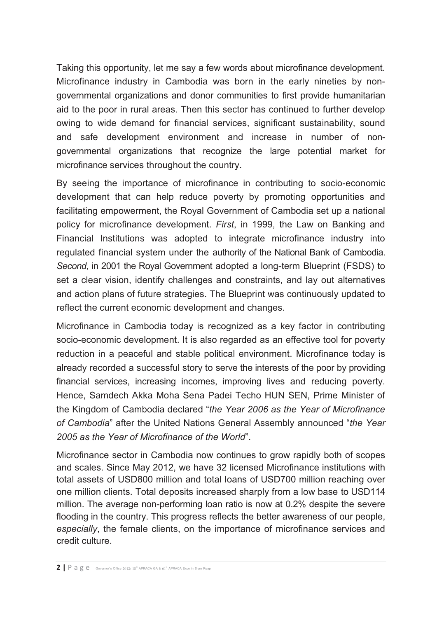Taking this opportunity, let me say a few words about microfinance development. Microfinance industry in Cambodia was born in the early nineties by nongovernmental organizations and donor communities to first provide humanitarian aid to the poor in rural areas. Then this sector has continued to further develop owing to wide demand for financial services, significant sustainability, sound and safe development environment and increase in number of nongovernmental organizations that recognize the large potential market for microfinance services throughout the country.

By seeing the importance of microfinance in contributing to socio-economic development that can help reduce poverty by promoting opportunities and facilitating empowerment, the Royal Government of Cambodia set up a national policy for microfinance development. *First*, in 1999, the Law on Banking and Financial Institutions was adopted to integrate microfinance industry into regulated financial system under the authority of the National Bank of Cambodia. *Second*, in 2001 the Royal Government adopted a long-term Blueprint (FSDS) to set a clear vision, identify challenges and constraints, and lay out alternatives and action plans of future strategies. The Blueprint was continuously updated to reflect the current economic development and changes.

Microfinance in Cambodia today is recognized as a key factor in contributing socio-economic development. It is also regarded as an effective tool for poverty reduction in a peaceful and stable political environment. Microfinance today is already recorded a successful story to serve the interests of the poor by providing financial services, increasing incomes, improving lives and reducing poverty. Hence, Samdech Akka Moha Sena Padei Techo HUN SEN, Prime Minister of the Kingdom of Cambodia declared "*the Year 2006 as the Year of Microfinance of Cambodia*" after the United Nations General Assembly announced "*the Year 2005 as the Year of Microfinance of the World*".

Microfinance sector in Cambodia now continues to grow rapidly both of scopes and scales. Since May 2012, we have 32 licensed Microfinance institutions with total assets of USD800 million and total loans of USD700 million reaching over one million clients. Total deposits increased sharply from a low base to USD114 million. The average non-performing loan ratio is now at 0.2% despite the severe flooding in the country. This progress reflects the better awareness of our people, *especially*, the female clients, on the importance of microfinance services and credit culture.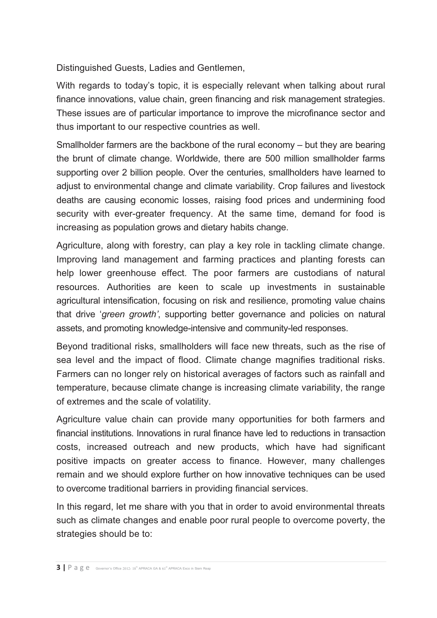Distinguished Guests, Ladies and Gentlemen,

With regards to today's topic, it is especially relevant when talking about rural finance innovations, value chain, green financing and risk management strategies. These issues are of particular importance to improve the microfinance sector and thus important to our respective countries as well.

Smallholder farmers are the backbone of the rural economy – but they are bearing the brunt of climate change. Worldwide, there are 500 million smallholder farms supporting over 2 billion people. Over the centuries, smallholders have learned to adjust to environmental change and climate variability. Crop failures and livestock deaths are causing economic losses, raising food prices and undermining food security with ever-greater frequency. At the same time, demand for food is increasing as population grows and dietary habits change.

Agriculture, along with forestry, can play a key role in tackling climate change. Improving land management and farming practices and planting forests can help lower greenhouse effect. The poor farmers are custodians of natural resources. Authorities are keen to scale up investments in sustainable agricultural intensification, focusing on risk and resilience, promoting value chains that drive '*green growth'*, supporting better governance and policies on natural assets, and promoting knowledge-intensive and community-led responses.

Beyond traditional risks, smallholders will face new threats, such as the rise of sea level and the impact of flood. Climate change magnifies traditional risks. Farmers can no longer rely on historical averages of factors such as rainfall and temperature, because climate change is increasing climate variability, the range of extremes and the scale of volatility.

Agriculture value chain can provide many opportunities for both farmers and financial institutions. Innovations in rural finance have led to reductions in transaction costs, increased outreach and new products, which have had significant positive impacts on greater access to finance. However, many challenges remain and we should explore further on how innovative techniques can be used to overcome traditional barriers in providing financial services.

In this regard, let me share with you that in order to avoid environmental threats such as climate changes and enable poor rural people to overcome poverty, the strategies should be to: